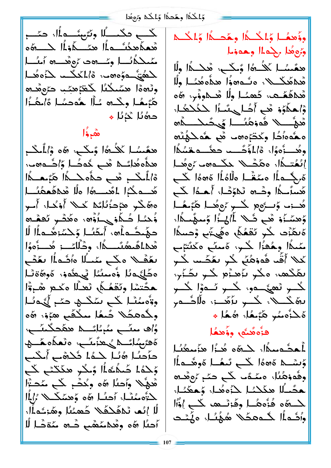وَلِمَكُمَّا وِهَجِمَّا وَلِمَكُمْ وَرَهِ هَٰذَا

كُب مكْنَـــُلا وتَرْمِمْــــماُل مَنْـــم هْدِمُ هِدُنُــدٍ أَل هُمْـــدُوْلُ لِـــدِهُ هِ مَمْلِكُلُولِ وَيُدِهِد رُهِ هُدِهِ أَمِلُوا لْمَعَيَّدَةَ مِعْدَا، وْالْمَكْسَدْ لْمَزْهِ هُمْ وثحةا همّىكْلًا كَعْبُرْهِيّب دَرْهِهْدِهِ هُبُمُا وكُـــهِ سُأَلَـــهُ هُوجِسًا وَٱلْحُــزَٰلَ حەُنُا كَبُرُنَا ﴾

## هُمرؤُا

همَّسُا ݣْلُاهُا وُكْبِ، ۞ه وْٱلْمَكْرِ هِدْهِ هُدَاسُكُ هُبِ جُوجُبَا وَٱحُسوهِ .. ةُالمُكْمِ مْبِي حِدُّهِ حَدًّا هَءٌ مِكْمَ هُـــوكُرُا لمُعْبِـــهُا ولًا هُدْفَعِعُنُــا ەھَكَىر ھۆدزُىُلگا كىلا أَوْكُما، أَسو وُحمُا کُےٗوَ کُی اُوُّہ، مَعَٰفُ لَعفُو حَمِّحتُــه أَنْهُ: أَمَكْتُــا وَحْمَدَهُـــه أَا لَٰا هْدَاهُمشُمْسَـدًا. وشْلَاسْــز هُـــزْهوُا بعُفْيه مكّب مُسْلًا هُرُشُوبًا بِعُضْ مَكَانَهُمْ مُعْصِرًا لِنُمْسَمَّةُ لَامِرْلِكْهِ حدِّيْشا وِنَقْعُكُم نْعَـلْا هَكَـع هُـرَةْا وِوْْهِشْلْ كْبِ سْكْسْ صْبّْ إِيْهِ بْنَا ولَّدهكَلا ضَعُل مكْفَى هَزَوْ: 6ه وُاد مِلّے مُبِمُائِکا مِکَحکّمَتَے. ئەش ھەدە ئىكىنىش ھەدە ئەي كەن ئەيدۇ حاَّحنُـا هُنُـا حَــمُـا ثَحْـهُــع أَنْحُب وَحْدُا ضَدُمُهُ اُ وَحْدِ مِكَحْبَ كَبِ ثَعِيثًا وَاصِلًا 6ه وكُثْمٍ كُم مِّحِثْرًا لِحَدُّهِ مِمْنَا. أَحِبُّا هُو وَهِمَكْكِي لَا إِلَيْهِ لًا إنْمِ نْمْفَحْفَى ۚ شَعِمْنُا وِهَٰٓ : وَٱ وَ أحلًا هَ وهُدمَمْعُهُ وُده مَّقفًا لَّا

وؤهما والحكا وهصلا والحك وُرُوهُا رِجْمَالِ وَهُوَمَا هِمَسُا ݣُدُهُا وُكُب: مْكِكُمْ وْلْمَ هُدْهُكُــدْ. وسُــووُوُّا هِدْوهُنَــا ولُا هُدْهُمُـب. ضَعمْـا ولَّا مْـدْوِنْب. ۞ه وْاهِمْكُوْفَ هُبِي أَحْسَانِ بِمُسْرًا حَكْكَفَا. معدَّه وأحدٌ أحدٍ من من معدد الله عنه من الله عليه الله عنه وأكد الله عنه من الله عنه الله عنه الله عنه وفُكْرُودُا: وْݣَاذْ دْكْسْمْدْ دْݣْسْمْلْدْلْلّْمْلّْلْمْلّْلْلّْمْلّْلْلّْمْلّْلّْمْلّْرْ إِنْعُتِيمًا، وَهَضْبِهِ حَكْمُوهِ رَوْهُمَا هُ,جُــه)ُا مَمْغُــا هِلْأَهُاْ هُهِهُا كَبِ هُسلَسلًا وحْده نْدْوُحْدْ؛ أَحْدًا جْب هُــزب وَسـرُوم كُــرِ رُوهُــا هَزُمهُــا وَهِمْنَوْهِ هُبِّ شَلَّا لَمُ لَيْهَ وَمِيهُمْلُه! ەَىغْزَى خُر ئقعُكَ وَفَيْتُو وَحِسْدًا مَعْمَا وِهُدَٰٓا جُبْنَ هُمْتُ هَكَتَبْتِ َىٰلاَ اُفُ فُەوْھُلِّ كُبْر ىقْضَىد كُبْر ىقگىمە، مگىر ئۆھتۇم گىر ئېتۇر. لُكْسِرِ تَصَيَّدُو. كُلْسِرِ تَسْمَوْا لَكْسِرِ ىھگىلا، كىس ئۆھىن ەللۇھەر ەْݣَرُەمْبْر ھَبُعْلَا. ھەڭلىپ قزُّهقُكُمْ، ووَّهطُ أهدً وممال للدة و هُذُا هزَ معظَم وُبِسْنَةً 65% كُنْبَ تُنْفُسًا 6ُوِيْئَتْ ا وفُووَهُلُا، وَمَمْدُبٍ كُلِّعٍ حَمْدٍ رُوَهْدِهِ هدُماً مكْنْمَا حْزَهْمَا. وَهكْمَا.

لك هُوَ هُزُوهُا وِهُ;نَسْمِهِ لَكَنِي إِوْزَا

واُئُـه اُل گـههکلا هُهُنُـا ولَهُنـُد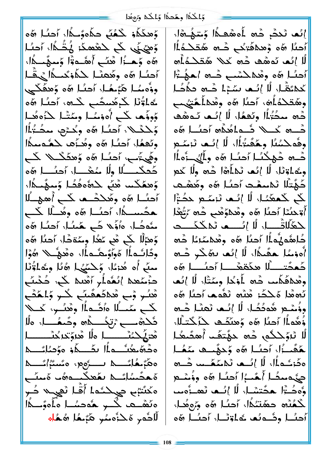وَلِمَكْمَا وِهَجِمًا وَلِمَكُمْ وَرَهِقُا

وَهكُمُوْ كُمُبًى حِكُووُحِكُل أَحِبًا هَء وَهِيَـنِّي لَكَم لِكَـهُمِكَـٰٓ لِمُتَـٰمُلُو أَحِسُلَ هَ وَحِيزًا هُنَّے أَهْدَوْا وَمِيْمَدُا: أحنُا هُه وهُعنْا حِكْوَحُمِكُ وَهُمَا وَهُمَ ووْهسًا هَبُسُا. أحسًا هُه وَهفَكَــي هُاوُّلًا لَكْرِهُسِصَّى لَكْـِهِ، أَصِّلْ هُهِ وُوؤُها كُبِ أُهْوَمُهَا وَمُتْهَا كَرُهِ هُهَا وَحْثَــٰلا، أَحِنُـا هَء وِحْــْمِ مِحْـُوَٰاً! وتُعِمًا، أَحِبُّا هُو وهُجَّى لِحَقَّومِهُا وَفَيْ أَمِينًا لَهُ وَمِنَكُمْ لَمْسِي حُدجُبِّساُل ولًا مُعْبَّساً. أحنُّساً هَء وَهمَكْسا هْنَى لِمَوْهِفُكُمْ وَسَهَّمَكُلَّا. أحنُا هُه ومُحدْسَم لَحْبِ أههلُل هدُّمسكُل: أحنُسل 6ه وهُــُلا كُب مْدَدًا، وأُوَّلا كُم هُمْلًا، أَدْلًا 6َه وَهَبَٱلْكُمْ هُمْ مُعُلٍّ وِمُقَدَّلٍ. أَصَلُلْ هَه وِثَائُــه أَا هُوَأَوَّــهُـــه أَا، ۖ هُدَهٌـــد ۞وْا معَهْ أَه هُذِمًا. وَلِكَمِيْهَا هُ لَا وِحْدَاةُ لَا حنْمُعدا إِنُعُه أَرِ ٱهْدا كَبِ، هُمْدَبّ ھْنُـر وْبِ ھْـدْفَعِقَّىنِّـ كُــرِ وْلَـعَمَّـعِ كُبِ مَمْسَلًا هُاَشُـه أَا وقْتُسِرْ، كَسِلًا ثَلاةُ بِ رُبْكُــدُهِ وِصَعُـــا والْهَ هْتِهَكْكُنْــــــــــا ملًا هْدۆخدىكىنْـــــــــا ەدەم ھُنْــــەلُمْ لهُــــــهُو ووُصْلِيُـــــــــه 0هَبُمُأَسَّـــا بِـــرُهِمْ. ٥سُبُّأَنُّــــا ەھھىسلىكى تەھكىسەھ قىمتى مَكْتُبْهِ صِحْدُهُ أَقْلَ تَعِيْمُ حُبّ ەئھْــم كْـــر ھەْھىسا ەلەۋسىدا لَّاهُم مَحْزُومُو هَزَمَهُ هُمَّاً.

إِنُم نَحِثَمِ ثَـٰهِ لِمَٰهَفِـٰهُا وَٰتِنَهُـٰـِهَا. أَحِبًا هَ وَهِدْفَتِكُمْ شَـْهِ هَٰتَكُمَٰاً لًا إنْمَا تُوهُ فَ هُدَا مُخْلِكُمْ أَنَّ اللَّهُ مَنْ اللَّهُ أحبُّا 6ه وقُمْلِيْسِي دْ٥، لْمُهْتْزَا كَهْتَقْا. لًا إنْـم سَبْءًا خْـه حِمْحُا وهَنْفَكُمُلُف: أَحِبُلُ 6َهِ وقُدْلَمُ هُنْهُ بِ دُّه محُبُّلًا ونُعمُلْ لًا إنُم نُهِهْد حْسِرِهِ كَسِيلًا حُسْماهُكُمْ وَ اُحِسُلِ وَ ه وفُه كِمُعًا وهُقُبُّهُا، لَا إِنِّمِ نَزِيمُو ثُــهِ شَهْكُنُـا أَحنُـا هَهِ وِلَمْلَىٰــزُّه اُلْمَــزُّه اُلْمَــزُّه ا وحُولَوْنَا، لَٰلا إِنَّهَا نَكْلُهُا خُرْهِ وِلًا خَعْرِ حَجَّتُلَا ثَمْسِمْتِ أَحِبًا هَءٍ وَهُيهَتِ كُم كُمعَكُمَا. لَا إنْمه نْزَمَيْمِ حَدُّثَٱ أَوْحِبُدًا أَحِبًا هَ وِهُدَوِّهُبِ شَهِ رَّبَٰهَا حَكَّلَاثْــــــــا، لُل إنْـــــم ثَمْكُكْــــد حُاهُمْهُماُ أَحِبُلُ هَ وَهُدَمَدْنَا حُم أُەفِسُل ھِقَىدًا. لَا إِنُف بِهَكْرِ شَـْهِ وقُدْهَدَمَ - هُ مَا أَوْجُلَ وَمَثَلًا: لَٰلَ إِنَّمِ تُههْدا هُكْدُ: هُنْه نْقُمِ أَصْلُ هُه وذُسْمِ هُودُدُا، لَا إنْـم نْعِنْا خْـج وُهُداًا أحبًا هَ وَهنَكُـ لِأَكْتَـلًا. لًا نْرَجْحَكُم، دْھ جِيَّتِفُ أَهِجَيْعًا هَقَسَزًا، أَحِبُّا هَءٍ وَحِبَّسِهِ مَعْصًا وَدَّدْواْلِ لَٰلِّ إِنْسِمِ ثَلِامِدْهُسِيدِ جْسِرِهِ حيَّد محَالٍ أَحَمَٰهُ إِلَّا أَحِبُ الْأَهَرِ وَذُمْهَ وَ وُوحُــتْزَا ـِهَجَّتِيْبَــان لَّا إِنْــها نْعْمَــزُومِبْ لْكْعُنُرُه حِهَّتْنُدًا. أَحِبًا هَ وَزَوِهُـا. أحبُّط وشَّديُّ شَاوْنْطْن أَحبُّط هَء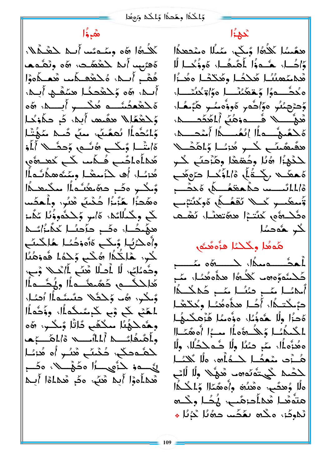$\int_{\frac{1}{2}}^{2} \hat{\infty}$ 

كْلُهُ اللهُ ومُحْدِّمِين أَبِيهِ لِلْمُحَدِّمِينَ } هُ هَبُسٍ أَبْدًا لِلْمُغَضَّفٍ. ۞ه وتُعُّدها فُهْبِ أَبِيهِ وَجَعْدِهُمِ هُدِهَا وَ أَبِيهِ: 6َهِ وَجَهْدَهُ الْمَنْفَسِينَ أَبِيهِ: ەَ كەشھەئىئە ھُكْسىر أَبِسْكَ، 6ە وَحْشَمَا لا محقَّىما أَبِها ۚ ثَمِ حَذَوْبُها وَٰٓاءُدُّہ اُل نُھھٗٮنٌ، حبنٌ ثَبِہ مَّہُتُہٗا ةُامْشَــا وُلكَـــو هُ نُـــه، وُحثَـــلا ٱلْمَوْ هُدْلُوْدْمُبْ هُـدُمب كُبْ كُعْبَرُهُ و هُزِسًا. أَفْ لِأَسْعَدا وَسَّدُهِ هُدًا اللَّهُ وُىكْــو ەكْــو ھەمھىتُــەلمُّا مىڭىھـــدُّا وهُجزًا هَزَّمَزًا جُكْمَهُ قُبُلٍ، وأُحجَمَ ݣُع وكْمُلائكا، ݣَامِر وّْكْخُووْنُا مْكْمَعْ ههُمدُــا. ودُـــر حزَّدسُــا كَـدُّمْزُاسُــــا وأُهكرُبُـا وُحكّب هَأُهوَحُـُـا هُالكُمنّب ﻼﺭ. ﻫَﺎﯕّﺪُﺍ ﻣُﻜْﺐ ﻭِّﻜَﻪ! ﻫَﻪﻭَﻣُﻨًا وحُدُمُكِ: لَا ـأَحـلَا هْبُ ـأَا ْحَـلا وْبِ: هَالحَكُسِي حَمَّىعُسَداً! وهُڪُداً! وَْحَكُو: ۞ وَحَدَّىٰلا حَنَّىشُوءُاْ أَصْـاً. لمَمْهِ كُلِّ وْبِ كَبِسُكُمْلًا، وِذُهُمْلًا وهُمكهُنُا مكْفَى دَّاتْا وُمكْرٍ. 6ه وأُهَّدُادُكُمْ أَلْمَلاً سِبْهِ وَالْمَكْرَجُ لِكْتُـهِ دَكْبٌ شَرُبُ مُنْـبٍ أَه هُزَيْـا يدُه و مكنَّ و الْمَسْرِهُ في الله عنه و مكن الله عنه و مكن الله عنه و مكن الله عنه و مكن الله عنه و هُدَاءُوۡۤا ٱبداً هُبِّ. وفِّ هُدَاءُا ٱبد

تحمأا

همَّسُا ݣْلَاهَا وُحْكِ: مَمْلًا مِمْعِعْدًا وَّاحُــا، حَـُـوزُا لَمُمَعُــا، هَوِذُكَــا لُل هْدَسَمْسَلًا مُحْدًا ومُحْدًا همُـزًا ەكھُـــوُا وُحْكَنْنْـــا وَاقْدُنْـــا. وۡحـۡرۡصَنُٰڔ ۚ ہوۡاۡ ہُم ہِ وَہُ مُنۡـرٖ ۖ ہَٰٓ ۡمُـٰمَـٰا۔ هُوْ \_ \ فَ\_\_ه;هُلّ أَ اهْدَٰت \. هَ حَمَّمِ مُ سَمَّا إِنْهُ حَمَّلاً أَمْدَ حَمَّد هفَعفَمنّب كُبِ هُزئُما وَاهَضْــلا لِكَنْدِزُا هُلَا وحُقْفُا وهَٰٓزْحَبَ كُبِ هَهِعَكِ الْمُؤْلَمِلُ وَالْمُؤْكَّلِ دَوْهَبِ ة/المُسْسِدِ حِمْعِقِهُ ۖ مَٰى هَدَفْ حِ تُسطَسِ كَسْلًا تَقْفُسُكُ هُوكَتَّتْئِب ەئكىۋە، كېتىرا ھۇتھىلار ئۇيم لُحر حَدْمَا

## هُوهُا وكُلْمًا فزُوهُمُ

أمدُ مداً لمستقاة من كَكْشُوُوهِ ۚ لِلْأَهُ لَا هَذُوهُمَا ۚ مَمْعِ أمدا منب حننا منب كمكنا دَمِكْتِـكُا، أَحُـا هِدُّهِ هُـُـا وِحُكْهُـا هْجَزًا ولًا هُدَوَٰٓئًا: ووَّْوَمِّنَا فَزْعَكُنهُـٰا لمكْمِكْمَا وَجْدُوهُ الْمَسْرَا أُوهُمَا ەھُذُو1ًا. ێێر دێێُل ولُّا شَـوكِكُلا. ولُّا هُــزُد سْعَدُــا حَــهُ لَهِ. ولَا يَحْنُــا لحدَّمه لْكَيْحَةَ مُحَمَّد مُحَمَّلا ولَمَا لَلصَّل هِلًا وُهجَي. هِ مَعْنُهُ وِأُهْهَٰمَا! وَلِمَكُمَّا! هتَهْفَا هُدْأُد;هُبٍ: هُدُا وِكْدِهِ لْمُوضَ: مِكْتُ بِعَضُبِ حَثَّلًا لَّذَبُنَا ﴾